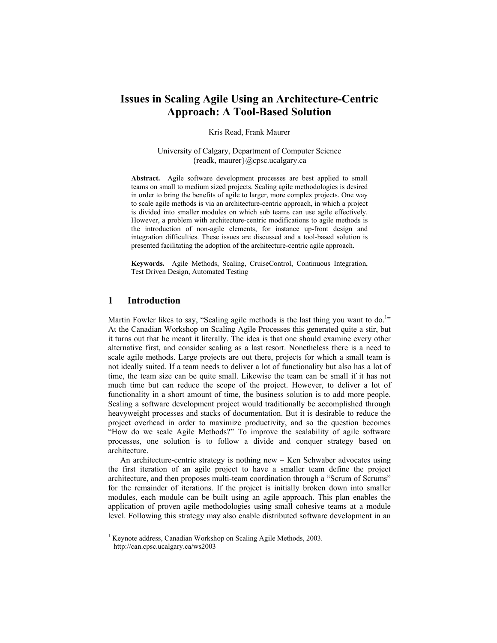# **Issues in Scaling Agile Using an Architecture-Centric Approach: A Tool-Based Solution**

#### Kris Read, Frank Maurer

University of Calgary, Department of Computer Science {readk, maurer}@cpsc.ucalgary.ca

**Abstract.** Agile software development processes are best applied to small teams on small to medium sized projects. Scaling agile methodologies is desired in order to bring the benefits of agile to larger, more complex projects. One way to scale agile methods is via an architecture-centric approach, in which a project is divided into smaller modules on which sub teams can use agile effectively. However, a problem with architecture-centric modifications to agile methods is the introduction of non-agile elements, for instance up-front design and integration difficulties. These issues are discussed and a tool-based solution is presented facilitating the adoption of the architecture-centric agile approach.

**Keywords.** Agile Methods, Scaling, CruiseControl, Continuous Integration, Test Driven Design, Automated Testing

#### **1 Introduction**

Martin Fowler likes to say, "Scaling agile methods is the last thing you want to do.<sup>[1](#page-0-0)</sup> At the Canadian Workshop on Scaling Agile Processes this generated quite a stir, but it turns out that he meant it literally. The idea is that one should examine every other alternative first, and consider scaling as a last resort. Nonetheless there is a need to scale agile methods. Large projects are out there, projects for which a small team is not ideally suited. If a team needs to deliver a lot of functionality but also has a lot of time, the team size can be quite small. Likewise the team can be small if it has not much time but can reduce the scope of the project. However, to deliver a lot of functionality in a short amount of time, the business solution is to add more people. Scaling a software development project would traditionally be accomplished through heavyweight processes and stacks of documentation. But it is desirable to reduce the project overhead in order to maximize productivity, and so the question becomes "How do we scale Agile Methods?" To improve the scalability of agile software processes, one solution is to follow a divide and conquer strategy based on architecture.

 An architecture-centric strategy is nothing new – Ken Schwaber advocates using the first iteration of an agile project to have a smaller team define the project architecture, and then proposes multi-team coordination through a "Scrum of Scrums" for the remainder of iterations. If the project is initially broken down into smaller modules, each module can be built using an agile approach. This plan enables the application of proven agile methodologies using small cohesive teams at a module level. Following this strategy may also enable distributed software development in an

<span id="page-0-0"></span> 1 Keynote address, Canadian Workshop on Scaling Agile Methods, 2003. http://can.cpsc.ucalgary.ca/ws2003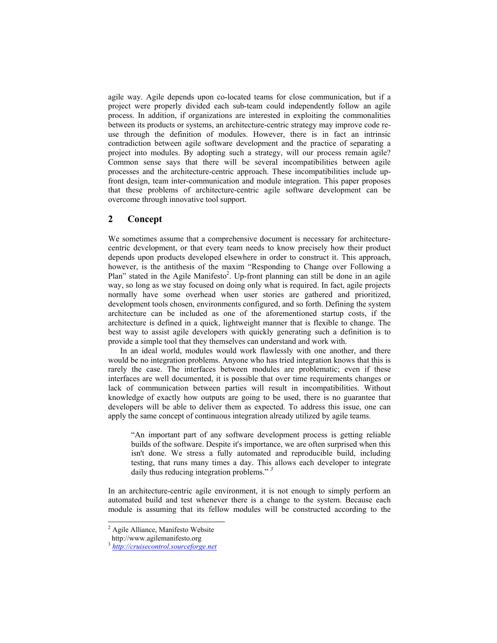agile way. Agile depends upon co-located teams for close communication, but if a project were properly divided each sub-team could independently follow an agile process. In addition, if organizations are interested in exploiting the commonalities between its products or systems, an architecture-centric strategy may improve code reuse through the definition of modules. However, there is in fact an intrinsic contradiction between agile software development and the practice of separating a project into modules. By adopting such a strategy, will our process remain agile? Common sense says that there will be several incompatibilities between agile processes and the architecture-centric approach. These incompatibilities include upfront design, team inter-communication and module integration. This paper proposes that these problems of architecture-centric agile software development can be overcome through innovative tool support.

### **2 Concept**

We sometimes assume that a comprehensive document is necessary for architecturecentric development, or that every team needs to know precisely how their product depends upon products developed elsewhere in order to construct it. This approach, however, is the antithesis of the maxim "Responding to Change over Following a Plan" stated in the Agile Manifesto<sup>[2](#page-1-0)</sup>. Up-front planning can still be done in an agile way, so long as we stay focused on doing only what is required. In fact, agile projects normally have some overhead when user stories are gathered and prioritized, development tools chosen, environments configured, and so forth. Defining the system architecture can be included as one of the aforementioned startup costs, if the architecture is defined in a quick, lightweight manner that is flexible to change. The best way to assist agile developers with quickly generating such a definition is to provide a simple tool that they themselves can understand and work with.

 In an ideal world, modules would work flawlessly with one another, and there would be no integration problems. Anyone who has tried integration knows that this is rarely the case. The interfaces between modules are problematic; even if these interfaces are well documented, it is possible that over time requirements changes or lack of communication between parties will result in incompatibilities. Without knowledge of exactly how outputs are going to be used, there is no guarantee that developers will be able to deliver them as expected. To address this issue, one can apply the same concept of continuous integration already utilized by agile teams.

"An important part of any software development process is getting reliable builds of the software. Despite it's importance, we are often surprised when this isn't done. We stress a fully automated and reproducible build, including testing, that runs many times a day. This allows each developer to integrate daily thus reducing integration problems." *[3](#page-1-1)*

In an architecture-centric agile environment, it is not enough to simply perform an automated build and test whenever there is a change to the system. Because each module is assuming that its fellow modules will be constructed according to the

 $\overline{\phantom{a}}$ 

<span id="page-1-0"></span><sup>2</sup> Agile Alliance, Manifesto Website

http://www.agilemanifesto.org

<span id="page-1-1"></span><sup>3</sup> *[http://cruisecontrol.sourceforge.net](http://cruisecontrol.sourceforge.net/)*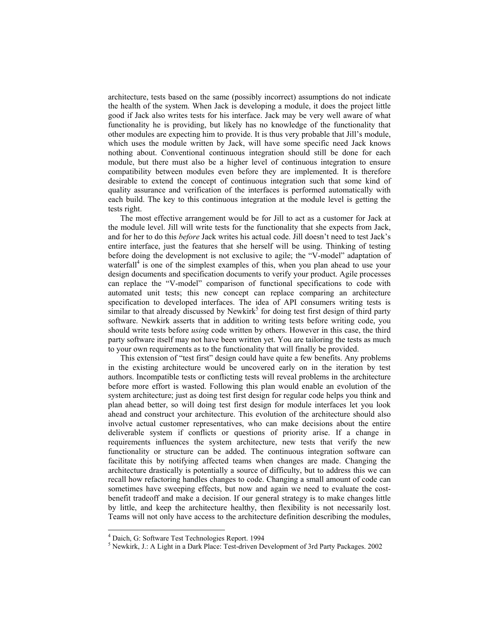architecture, tests based on the same (possibly incorrect) assumptions do not indicate the health of the system. When Jack is developing a module, it does the project little good if Jack also writes tests for his interface. Jack may be very well aware of what functionality he is providing, but likely has no knowledge of the functionality that other modules are expecting him to provide. It is thus very probable that Jill's module, which uses the module written by Jack, will have some specific need Jack knows nothing about. Conventional continuous integration should still be done for each module, but there must also be a higher level of continuous integration to ensure compatibility between modules even before they are implemented. It is therefore desirable to extend the concept of continuous integration such that some kind of quality assurance and verification of the interfaces is performed automatically with each build. The key to this continuous integration at the module level is getting the tests right.

 The most effective arrangement would be for Jill to act as a customer for Jack at the module level. Jill will write tests for the functionality that she expects from Jack, and for her to do this *before* Jack writes his actual code. Jill doesn't need to test Jack's entire interface, just the features that she herself will be using. Thinking of testing before doing the development is not exclusive to agile; the "V-model" adaptation of waterfall<sup>[4](#page-2-0)</sup> is one of the simplest examples of this, when you plan ahead to use your design documents and specification documents to verify your product. Agile processes can replace the "V-model" comparison of functional specifications to code with automated unit tests; this new concept can replace comparing an architecture specification to developed interfaces. The idea of API consumers writing tests is  $s$ imilar to that already discussed by Newkirk<sup>[5](#page-2-1)</sup> for doing test first design of third party software. Newkirk asserts that in addition to writing tests before writing code, you should write tests before *using* code written by others. However in this case, the third party software itself may not have been written yet. You are tailoring the tests as much to your own requirements as to the functionality that will finally be provided.

 This extension of "test first" design could have quite a few benefits. Any problems in the existing architecture would be uncovered early on in the iteration by test authors. Incompatible tests or conflicting tests will reveal problems in the architecture before more effort is wasted. Following this plan would enable an evolution of the system architecture; just as doing test first design for regular code helps you think and plan ahead better, so will doing test first design for module interfaces let you look ahead and construct your architecture. This evolution of the architecture should also involve actual customer representatives, who can make decisions about the entire deliverable system if conflicts or questions of priority arise. If a change in requirements influences the system architecture, new tests that verify the new functionality or structure can be added. The continuous integration software can facilitate this by notifying affected teams when changes are made. Changing the architecture drastically is potentially a source of difficulty, but to address this we can recall how refactoring handles changes to code. Changing a small amount of code can sometimes have sweeping effects, but now and again we need to evaluate the costbenefit tradeoff and make a decision. If our general strategy is to make changes little by little, and keep the architecture healthy, then flexibility is not necessarily lost. Teams will not only have access to the architecture definition describing the modules,

 $\overline{\phantom{a}}$ 

<span id="page-2-0"></span><sup>4</sup> Daich, G: Software Test Technologies Report. 1994

<span id="page-2-1"></span><sup>&</sup>lt;sup>5</sup> Newkirk, J.: A Light in a Dark Place: Test-driven Development of 3rd Party Packages. 2002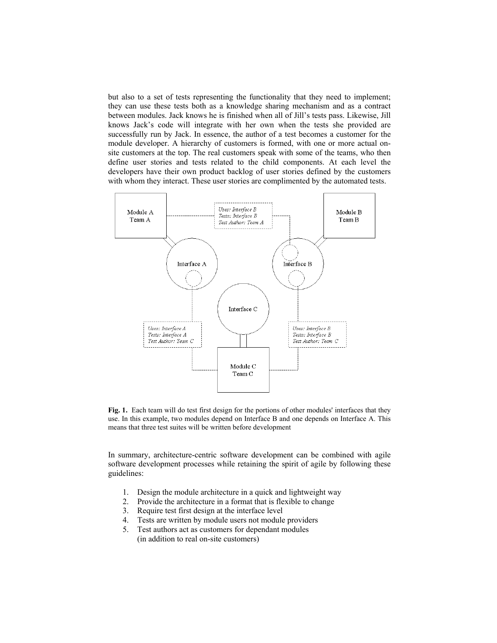but also to a set of tests representing the functionality that they need to implement; they can use these tests both as a knowledge sharing mechanism and as a contract between modules. Jack knows he is finished when all of Jill's tests pass. Likewise, Jill knows Jack's code will integrate with her own when the tests she provided are successfully run by Jack. In essence, the author of a test becomes a customer for the module developer. A hierarchy of customers is formed, with one or more actual onsite customers at the top. The real customers speak with some of the teams, who then define user stories and tests related to the child components. At each level the developers have their own product backlog of user stories defined by the customers with whom they interact. These user stories are complimented by the automated tests.



**Fig. 1.** Each team will do test first design for the portions of other modules' interfaces that they use. In this example, two modules depend on Interface B and one depends on Interface A. This means that three test suites will be written before development

In summary, architecture-centric software development can be combined with agile software development processes while retaining the spirit of agile by following these guidelines:

- 1. Design the module architecture in a quick and lightweight way
- 2. Provide the architecture in a format that is flexible to change
- 3. Require test first design at the interface level
- 4. Tests are written by module users not module providers
- 5. Test authors act as customers for dependant modules (in addition to real on-site customers)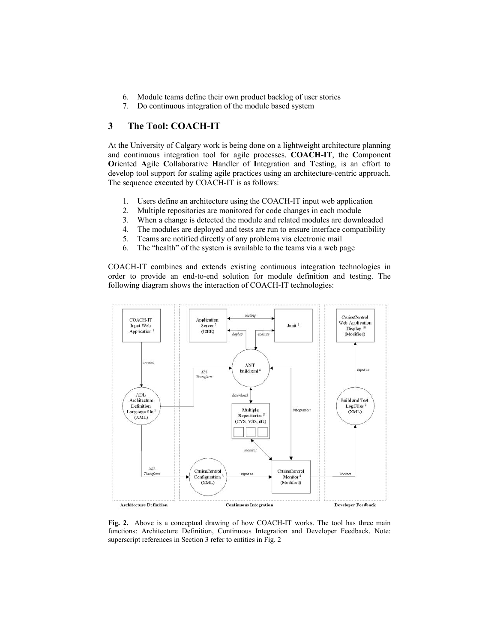- 6. Module teams define their own product backlog of user stories
- 7. Do continuous integration of the module based system

# **3 The Tool: COACH-IT**

At the University of Calgary work is being done on a lightweight architecture planning and continuous integration tool for agile processes. **COACH-IT**, the **C**omponent **O**riented **A**gile **C**ollaborative **H**andler of **I**ntegration and **T**esting, is an effort to develop tool support for scaling agile practices using an architecture-centric approach. The sequence executed by COACH-IT is as follows:

- 1. Users define an architecture using the COACH-IT input web application
- 2. Multiple repositories are monitored for code changes in each module
- 3. When a change is detected the module and related modules are downloaded
- 4. The modules are deployed and tests are run to ensure interface compatibility
- 5. Teams are notified directly of any problems via electronic mail
- 6. The "health" of the system is available to the teams via a web page

COACH-IT combines and extends existing continuous integration technologies in order to provide an end-to-end solution for module definition and testing. The following diagram shows the interaction of COACH-IT technologies:



Fig. 2. Above is a conceptual drawing of how COACH-IT works. The tool has three main functions: Architecture Definition, Continuous Integration and Developer Feedback. Note: superscript references in Section 3 refer to entities in Fig. 2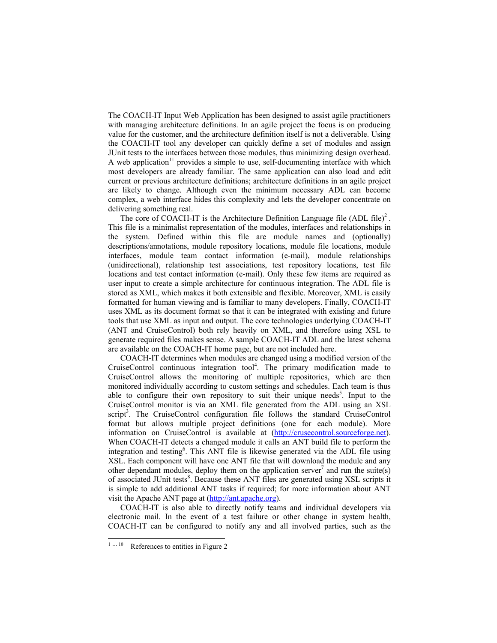The COACH-IT Input Web Application has been designed to assist agile practitioners with managing architecture definitions. In an agile project the focus is on producing value for the customer, and the architecture definition itself is not a deliverable. Using the COACH-IT tool any developer can quickly define a set of modules and assign JUnit tests to the interfaces between those modules, thus minimizing design overhead. A web application<sup>[11](#page-5-0)</sup> provides a simple to use, self-documenting interface with which most developers are already familiar. The same application can also load and edit current or previous architecture definitions; architecture definitions in an agile project are likely to change. Although even the minimum necessary ADL can become complex, a web interface hides this complexity and lets the developer concentrate on delivering something real.

the system. Defined within this file are module names and (optionally) The core of COACH-IT is the Architecture Definition Language file (ADL file)<sup>2</sup>. This file is a minimalist representation of the modules, interfaces and relationships in descriptions/annotations, module repository locations, module file locations, module interfaces, module team contact information (e-mail), module relationships (unidirectional), relationship test associations, test repository locations, test file locations and test contact information (e-mail). Only these few items are required as user input to create a simple architecture for continuous integration. The ADL file is stored as XML, which makes it both extensible and flexible. Moreover, XML is easily formatted for human viewing and is familiar to many developers. Finally, COACH-IT uses XML as its document format so that it can be integrated with existing and future tools that use XML as input and output. The core technologies underlying COACH-IT (ANT and CruiseControl) both rely heavily on XML, and therefore using XSL to generate required files makes sense. A sample COACH-IT ADL and the latest schema are available on the COACH-IT home page, but are not included here.

CruiseControl allows the monitoring of multiple repositories, which are then COACH-IT determines when modules are changed using a modified version of the CruiseControl continuous integration tool<sup>4</sup>. The primary modification made to monitored individually according to custom settings and schedules. Each team is thus able to configure their own repository to suit their unique needs<sup>5</sup>. Input to the CruiseControl monitor is via an XML file generated from the ADL using an XSL script<sup>3</sup>. The CruiseControl configuration file follows the standard CruiseControl format but allows multiple project definitions (one for each module). More information on CruiseControl is available at (http://crusecontrol.sourceforge.net). When COACH-IT detects a changed module it calls an ANT build file to perform the integration and testing<sup>6</sup>. This ANT file is likewise generated via the ADL file using XSL. Each component will have one ANT file th[at will download the module and an](http://crusecontrol.sourceforge.net/)y other dependant modules, deploy them on the application server<sup>7</sup> and run the suite(s) of associated JUnit tests<sup>8</sup>. Because these ANT files are generated using XSL scripts it is simple to add additional ANT tasks if required; for more information about ANT visit the Apache ANT page at (http://ant.apache.org).

 COACH-IT is also able to directly notify teams and individual developers via electronic mail. In the event of a test failure or other change in system health, COACH-IT can be configure[d to notify any and](http://ant.apache.org/) all involved parties, such as the

<span id="page-5-0"></span> $1...10$ References to entities in Figure 2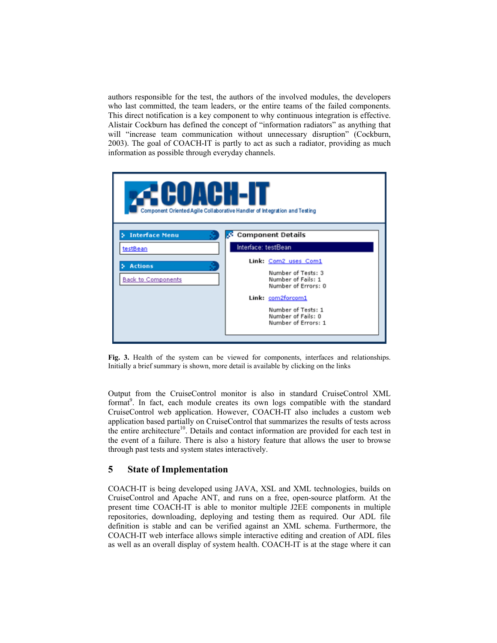authors responsible for the test, the authors of the involved modules, the developers who last committed, the team leaders, or the entire teams of the failed components. This direct notification is a key component to why continuous integration is effective. Alistair Cockburn has defined the concept of "information radiators" as anything that will "increase team communication without unnecessary disruption" (Cockburn, 2003). The goal of COACH-IT is partly to act as such a radiator, providing as much information as possible through everyday channels.



**Fig. 3.** Health of the system can be viewed for components, interfaces and relationships. Initially a brief summary is shown, more detail is available by clicking on the links

Output from the CruiseControl monitor is also in standard CruiseControl XML Output from the CruiseControl monitor is also in standard CruiseControl XML format<sup>9</sup>. In fact, each module creates its own logs compatible with the standard CruiseControl web application. However, COACH-IT also includes a custom web application based partially on CruiseControl that summarizes the results of tests across the entire architecture<sup>10</sup>. Details and contact information are provided for each test in the event of a failure. There is also a history feature that allows the user to browse through past tests and system states interactively.

## **5 State of Implementation**

OACH-IT is being developed using JAVA, XSL and XML technologies, builds on C CruiseControl and Apache ANT, and runs on a free, open-source platform. At the present time COACH-IT is able to monitor multiple J2EE components in multiple repositories, downloading, deploying and testing them as required. Our ADL file definition is stable and can be verified against an XML schema. Furthermore, the COACH-IT web interface allows simple interactive editing and creation of ADL files as well as an overall display of system health. COACH-IT is at the stage where it can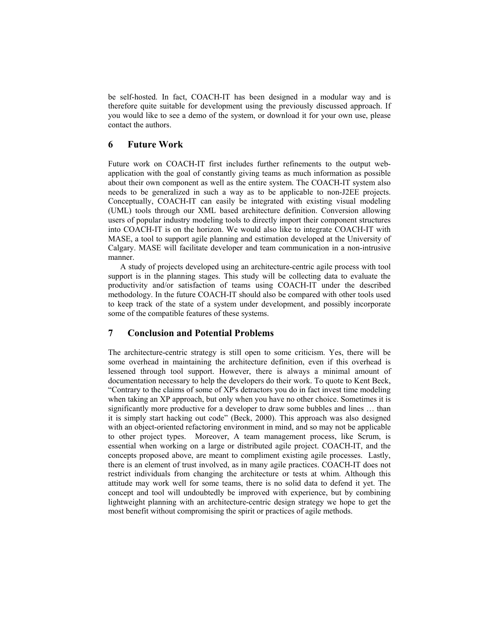be self-hosted. In fact, COACH-IT has been designed in a modular way and is therefore quite suitable for development using the previously discussed approach. If you would like to see a demo of the system, or download it for your own use, please contact the authors.

### **6 Future Work**

Future work on COACH-IT first includes further refinements to the output webapplication with the goal of constantly giving teams as much information as possible about their own component as well as the entire system. The COACH-IT system also needs to be generalized in such a way as to be applicable to non-J2EE projects. Conceptually, COACH-IT can easily be integrated with existing visual modeling (UML) tools through our XML based architecture definition. Conversion allowing users of popular industry modeling tools to directly import their component structures into COACH-IT is on the horizon. We would also like to integrate COACH-IT with MASE, a tool to support agile planning and estimation developed at the University of Calgary. MASE will facilitate developer and team communication in a non-intrusive manner.

productivity and/or satisfaction of teams using COACH-IT under the described A study of projects developed using an architecture-centric agile process with tool support is in the planning stages. This study will be collecting data to evaluate the methodology. In the future COACH-IT should also be compared with other tools used to keep track of the state of a system under development, and possibly incorporate some of the compatible features of these systems.

#### **7 Conclusion and Potential Problems**

The architecture-centric strategy is still open to some criticism. Yes, there will be some overhead in maintaining the architecture definition, even if this overhead is lessened through tool support. However, there is always a minimal amount of documentation necessary to help the developers do their work. To quote to Kent Beck, "Contrary to the claims of some of XP's detractors you do in fact invest time modeling when taking an XP approach, but only when you have no other choice. Sometimes it is significantly more productive for a developer to draw some bubbles and lines … than it is simply start hacking out code" (Beck, 2000). This approach was also designed with an object-oriented refactoring environment in mind, and so may not be applicable to other project types. Moreover, A team management process, like Scrum, is essential when working on a large or distributed agile project. COACH-IT, and the concepts proposed above, are meant to compliment existing agile processes. Lastly, there is an element of trust involved, as in many agile practices. COACH-IT does not restrict individuals from changing the architecture or tests at whim. Although this attitude may work well for some teams, there is no solid data to defend it yet. The concept and tool will undoubtedly be improved with experience, but by combining lightweight planning with an architecture-centric design strategy we hope to get the most benefit without compromising the spirit or practices of agile methods.